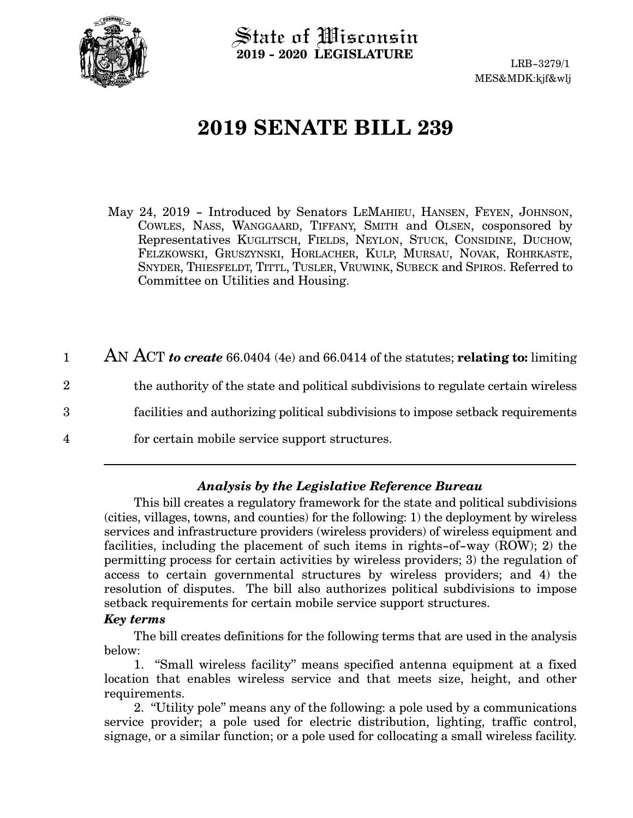

State of Wisconsin **2019 - 2020 LEGISLATURE**

LRB-3279/1 MES&MDK:kjf&wlj

# **2019 SENATE BILL 239**

- May 24, 2019 Introduced by Senators LEMAHIEU, HANSEN, FEYEN, JOHNSON, COWLES, NASS, WANGGAARD, TIFFANY, SMITH and OLSEN, cosponsored by Representatives KUGLITSCH, FIELDS, NEYLON, STUCK, CONSIDINE, DUCHOW, FELZKOWSKI, GRUSZYNSKI, HORLACHER, KULP, MURSAU, NOVAK, ROHRKASTE, SNYDER, THIESFELDT, TITTL, TUSLER, VRUWINK, SUBECK and SPIROS. Referred to Committee on Utilities and Housing.
- AN ACT *to create* 66.0404 (4e) and 66.0414 of the statutes; **relating to:** limiting the authority of the state and political subdivisions to regulate certain wireless facilities and authorizing political subdivisions to impose setback requirements for certain mobile service support structures. 1 2 3 4

### *Analysis by the Legislative Reference Bureau*

This bill creates a regulatory framework for the state and political subdivisions (cities, villages, towns, and counties) for the following: 1) the deployment by wireless services and infrastructure providers (wireless providers) of wireless equipment and facilities, including the placement of such items in rights-of-way (ROW); 2) the permitting process for certain activities by wireless providers; 3) the regulation of access to certain governmental structures by wireless providers; and 4) the resolution of disputes. The bill also authorizes political subdivisions to impose setback requirements for certain mobile service support structures.

### *Key terms*

The bill creates definitions for the following terms that are used in the analysis below:

1. "Small wireless facility" means specified antenna equipment at a fixed location that enables wireless service and that meets size, height, and other requirements.

2. "Utility pole" means any of the following: a pole used by a communications service provider; a pole used for electric distribution, lighting, traffic control, signage, or a similar function; or a pole used for collocating a small wireless facility.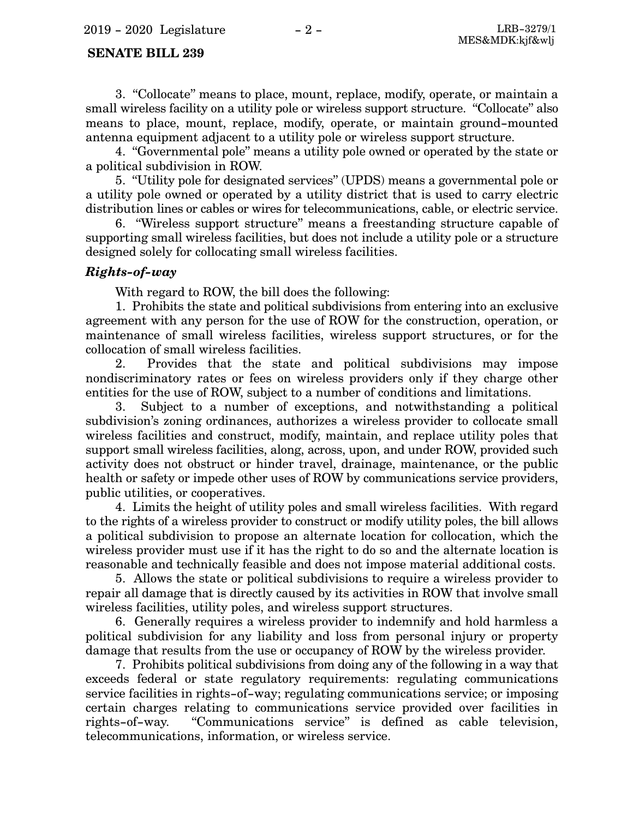3. "Collocate" means to place, mount, replace, modify, operate, or maintain a small wireless facility on a utility pole or wireless support structure. "Collocate" also means to place, mount, replace, modify, operate, or maintain ground-mounted antenna equipment adjacent to a utility pole or wireless support structure.

4. "Governmental pole" means a utility pole owned or operated by the state or a political subdivision in ROW.

5. "Utility pole for designated services" (UPDS) means a governmental pole or a utility pole owned or operated by a utility district that is used to carry electric distribution lines or cables or wires for telecommunications, cable, or electric service.

6. "Wireless support structure" means a freestanding structure capable of supporting small wireless facilities, but does not include a utility pole or a structure designed solely for collocating small wireless facilities.

#### *Rights-of-way*

With regard to ROW, the bill does the following:

1. Prohibits the state and political subdivisions from entering into an exclusive agreement with any person for the use of ROW for the construction, operation, or maintenance of small wireless facilities, wireless support structures, or for the collocation of small wireless facilities.

2. Provides that the state and political subdivisions may impose nondiscriminatory rates or fees on wireless providers only if they charge other entities for the use of ROW, subject to a number of conditions and limitations.

3. Subject to a number of exceptions, and notwithstanding a political subdivision's zoning ordinances, authorizes a wireless provider to collocate small wireless facilities and construct, modify, maintain, and replace utility poles that support small wireless facilities, along, across, upon, and under ROW, provided such activity does not obstruct or hinder travel, drainage, maintenance, or the public health or safety or impede other uses of ROW by communications service providers, public utilities, or cooperatives.

4. Limits the height of utility poles and small wireless facilities. With regard to the rights of a wireless provider to construct or modify utility poles, the bill allows a political subdivision to propose an alternate location for collocation, which the wireless provider must use if it has the right to do so and the alternate location is reasonable and technically feasible and does not impose material additional costs.

5. Allows the state or political subdivisions to require a wireless provider to repair all damage that is directly caused by its activities in ROW that involve small wireless facilities, utility poles, and wireless support structures.

6. Generally requires a wireless provider to indemnify and hold harmless a political subdivision for any liability and loss from personal injury or property damage that results from the use or occupancy of ROW by the wireless provider.

7. Prohibits political subdivisions from doing any of the following in a way that exceeds federal or state regulatory requirements: regulating communications service facilities in rights-of-way; regulating communications service; or imposing certain charges relating to communications service provided over facilities in rights-of-way. "Communications service" is defined as cable television, telecommunications, information, or wireless service.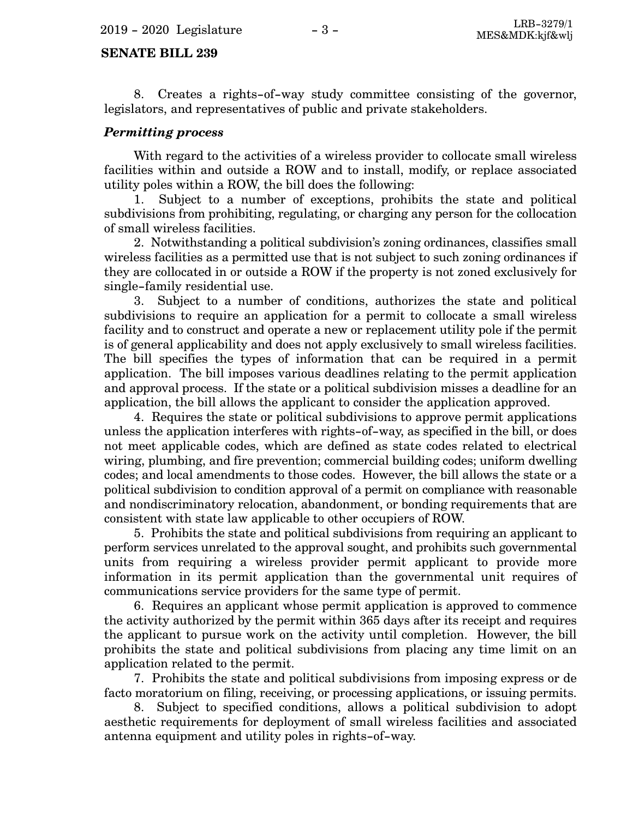8. Creates a rights-of-way study committee consisting of the governor, legislators, and representatives of public and private stakeholders.

### *Permitting process*

With regard to the activities of a wireless provider to collocate small wireless facilities within and outside a ROW and to install, modify, or replace associated utility poles within a ROW, the bill does the following:

1. Subject to a number of exceptions, prohibits the state and political subdivisions from prohibiting, regulating, or charging any person for the collocation of small wireless facilities.

2. Notwithstanding a political subdivision's zoning ordinances, classifies small wireless facilities as a permitted use that is not subject to such zoning ordinances if they are collocated in or outside a ROW if the property is not zoned exclusively for single-family residential use.

3. Subject to a number of conditions, authorizes the state and political subdivisions to require an application for a permit to collocate a small wireless facility and to construct and operate a new or replacement utility pole if the permit is of general applicability and does not apply exclusively to small wireless facilities. The bill specifies the types of information that can be required in a permit application. The bill imposes various deadlines relating to the permit application and approval process. If the state or a political subdivision misses a deadline for an application, the bill allows the applicant to consider the application approved.

4. Requires the state or political subdivisions to approve permit applications unless the application interferes with rights-of-way, as specified in the bill, or does not meet applicable codes, which are defined as state codes related to electrical wiring, plumbing, and fire prevention; commercial building codes; uniform dwelling codes; and local amendments to those codes. However, the bill allows the state or a political subdivision to condition approval of a permit on compliance with reasonable and nondiscriminatory relocation, abandonment, or bonding requirements that are consistent with state law applicable to other occupiers of ROW.

5. Prohibits the state and political subdivisions from requiring an applicant to perform services unrelated to the approval sought, and prohibits such governmental units from requiring a wireless provider permit applicant to provide more information in its permit application than the governmental unit requires of communications service providers for the same type of permit.

6. Requires an applicant whose permit application is approved to commence the activity authorized by the permit within 365 days after its receipt and requires the applicant to pursue work on the activity until completion. However, the bill prohibits the state and political subdivisions from placing any time limit on an application related to the permit.

7. Prohibits the state and political subdivisions from imposing express or de facto moratorium on filing, receiving, or processing applications, or issuing permits.

8. Subject to specified conditions, allows a political subdivision to adopt aesthetic requirements for deployment of small wireless facilities and associated antenna equipment and utility poles in rights-of-way.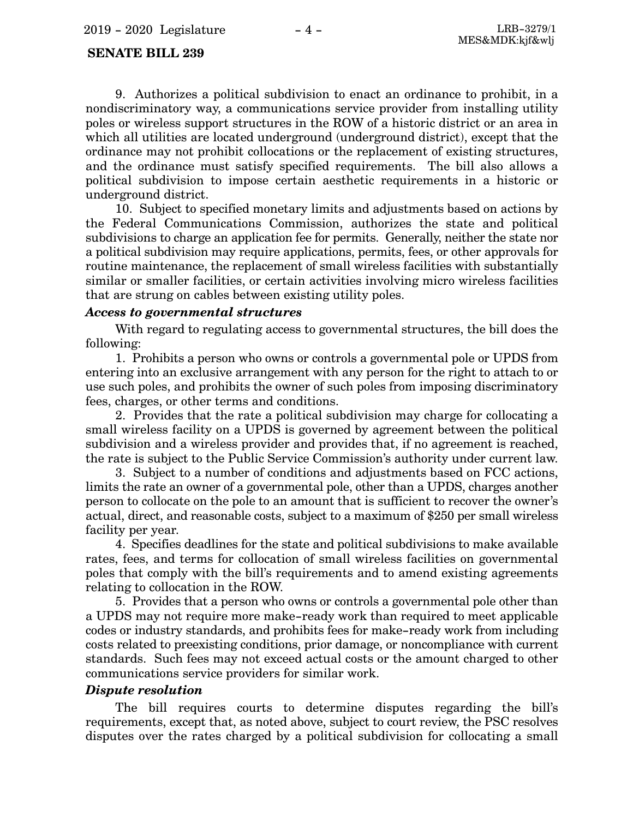9. Authorizes a political subdivision to enact an ordinance to prohibit, in a nondiscriminatory way, a communications service provider from installing utility poles or wireless support structures in the ROW of a historic district or an area in which all utilities are located underground (underground district), except that the ordinance may not prohibit collocations or the replacement of existing structures, and the ordinance must satisfy specified requirements. The bill also allows a political subdivision to impose certain aesthetic requirements in a historic or underground district.

10. Subject to specified monetary limits and adjustments based on actions by the Federal Communications Commission, authorizes the state and political subdivisions to charge an application fee for permits. Generally, neither the state nor a political subdivision may require applications, permits, fees, or other approvals for routine maintenance, the replacement of small wireless facilities with substantially similar or smaller facilities, or certain activities involving micro wireless facilities that are strung on cables between existing utility poles.

#### *Access to governmental structures*

With regard to regulating access to governmental structures, the bill does the following:

1. Prohibits a person who owns or controls a governmental pole or UPDS from entering into an exclusive arrangement with any person for the right to attach to or use such poles, and prohibits the owner of such poles from imposing discriminatory fees, charges, or other terms and conditions.

2. Provides that the rate a political subdivision may charge for collocating a small wireless facility on a UPDS is governed by agreement between the political subdivision and a wireless provider and provides that, if no agreement is reached, the rate is subject to the Public Service Commission's authority under current law.

3. Subject to a number of conditions and adjustments based on FCC actions, limits the rate an owner of a governmental pole, other than a UPDS, charges another person to collocate on the pole to an amount that is sufficient to recover the owner's actual, direct, and reasonable costs, subject to a maximum of \$250 per small wireless facility per year.

4. Specifies deadlines for the state and political subdivisions to make available rates, fees, and terms for collocation of small wireless facilities on governmental poles that comply with the bill's requirements and to amend existing agreements relating to collocation in the ROW.

5. Provides that a person who owns or controls a governmental pole other than a UPDS may not require more make-ready work than required to meet applicable codes or industry standards, and prohibits fees for make-ready work from including costs related to preexisting conditions, prior damage, or noncompliance with current standards. Such fees may not exceed actual costs or the amount charged to other communications service providers for similar work.

#### *Dispute resolution*

The bill requires courts to determine disputes regarding the bill's requirements, except that, as noted above, subject to court review, the PSC resolves disputes over the rates charged by a political subdivision for collocating a small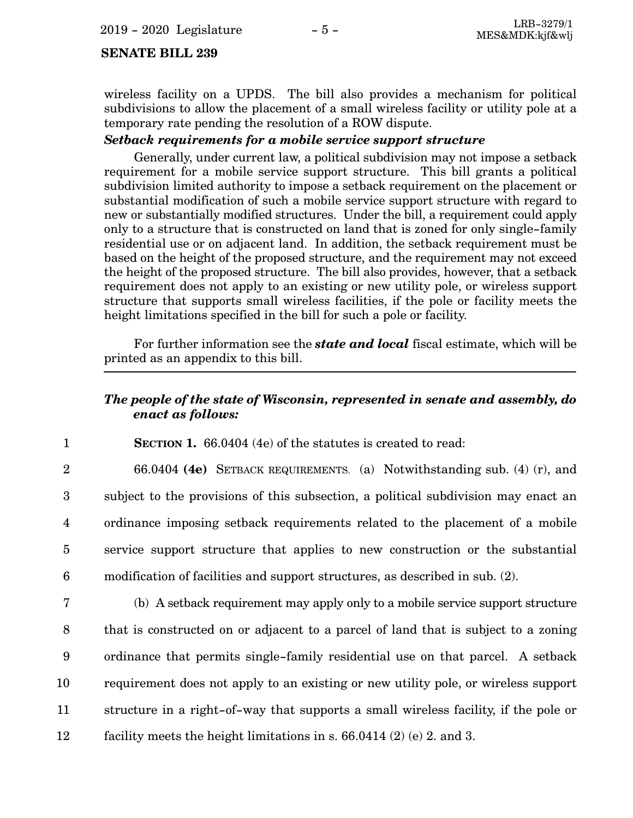wireless facility on a UPDS. The bill also provides a mechanism for political subdivisions to allow the placement of a small wireless facility or utility pole at a temporary rate pending the resolution of a ROW dispute.

#### *Setback requirements for a mobile service support structure*

Generally, under current law, a political subdivision may not impose a setback requirement for a mobile service support structure. This bill grants a political subdivision limited authority to impose a setback requirement on the placement or substantial modification of such a mobile service support structure with regard to new or substantially modified structures. Under the bill, a requirement could apply only to a structure that is constructed on land that is zoned for only single-family residential use or on adjacent land. In addition, the setback requirement must be based on the height of the proposed structure, and the requirement may not exceed the height of the proposed structure. The bill also provides, however, that a setback requirement does not apply to an existing or new utility pole, or wireless support structure that supports small wireless facilities, if the pole or facility meets the height limitations specified in the bill for such a pole or facility.

For further information see the *state and local* fiscal estimate, which will be printed as an appendix to this bill.

### *The people of the state of Wisconsin, represented in senate and assembly, do enact as follows:*

**SECTION 1.** 66.0404 (4e) of the statutes is created to read: 1

66.0404 **(4e)** SETBACK REQUIREMENTS. (a) Notwithstanding sub. (4) (r), and subject to the provisions of this subsection, a political subdivision may enact an ordinance imposing setback requirements related to the placement of a mobile service support structure that applies to new construction or the substantial modification of facilities and support structures, as described in sub. (2). 2 3 4 5 6

(b) A setback requirement may apply only to a mobile service support structure that is constructed on or adjacent to a parcel of land that is subject to a zoning ordinance that permits single-family residential use on that parcel. A setback requirement does not apply to an existing or new utility pole, or wireless support structure in a right-of-way that supports a small wireless facility, if the pole or facility meets the height limitations in s. 66.0414 (2) (e) 2. and 3. 7 8 9 10 11 12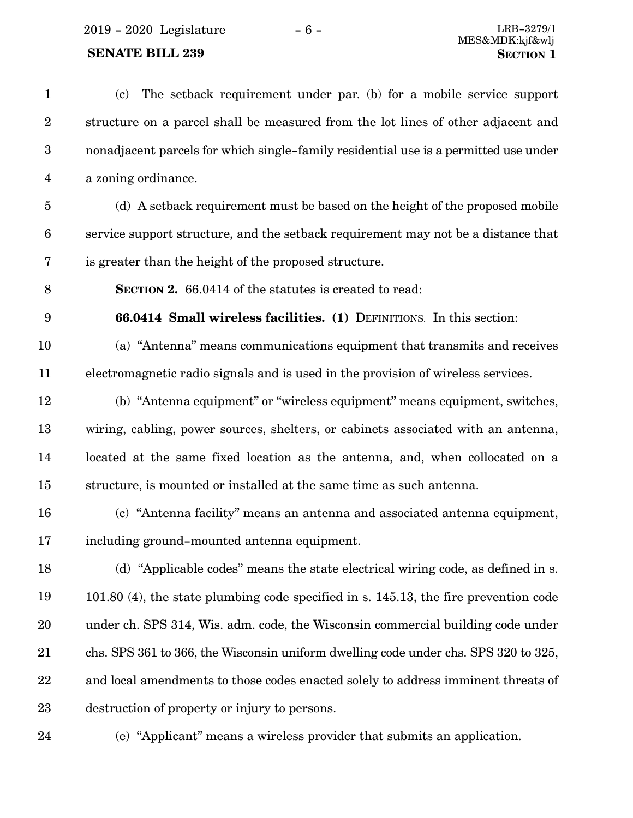$2019 - 2020$  Legislature  $-6 -$  LRB-3279/1

## **SENATE BILL 239**

| $\mathbf{1}$     | The setback requirement under par. (b) for a mobile service support<br>(c)           |
|------------------|--------------------------------------------------------------------------------------|
| $\boldsymbol{2}$ | structure on a parcel shall be measured from the lot lines of other adjacent and     |
| $\boldsymbol{3}$ | nonadjacent parcels for which single-family residential use is a permitted use under |
| $\overline{4}$   | a zoning ordinance.                                                                  |
| $\overline{5}$   | (d) A setback requirement must be based on the height of the proposed mobile         |
| 6                | service support structure, and the setback requirement may not be a distance that    |
| 7                | is greater than the height of the proposed structure.                                |
| 8                | <b>SECTION 2.</b> 66.0414 of the statutes is created to read:                        |
| 9                | <b>66.0414 Small wireless facilities.</b> (1) DEFINITIONS. In this section:          |
| 10               | (a) "Antenna" means communications equipment that transmits and receives             |
| 11               | electromagnetic radio signals and is used in the provision of wireless services.     |
| 12               | (b) "Antenna equipment" or "wireless equipment" means equipment, switches,           |
| 13               | wiring, cabling, power sources, shelters, or cabinets associated with an antenna,    |
| 14               | located at the same fixed location as the antenna, and, when collocated on a         |
| 15               | structure, is mounted or installed at the same time as such antenna.                 |
| 16               | (c) "Antenna facility" means an antenna and associated antenna equipment,            |
| 17               | including ground-mounted antenna equipment.                                          |
| 18               | (d) "Applicable codes" means the state electrical wiring code, as defined in s.      |
| 19               | 101.80 (4), the state plumbing code specified in s. 145.13, the fire prevention code |
| $20\,$           | under ch. SPS 314, Wis. adm. code, the Wisconsin commercial building code under      |
| 21               | chs. SPS 361 to 366, the Wisconsin uniform dwelling code under chs. SPS 320 to 325,  |
| 22               | and local amendments to those codes enacted solely to address imminent threats of    |
| $23\,$           | destruction of property or injury to persons.                                        |

24

(e) "Applicant" means a wireless provider that submits an application.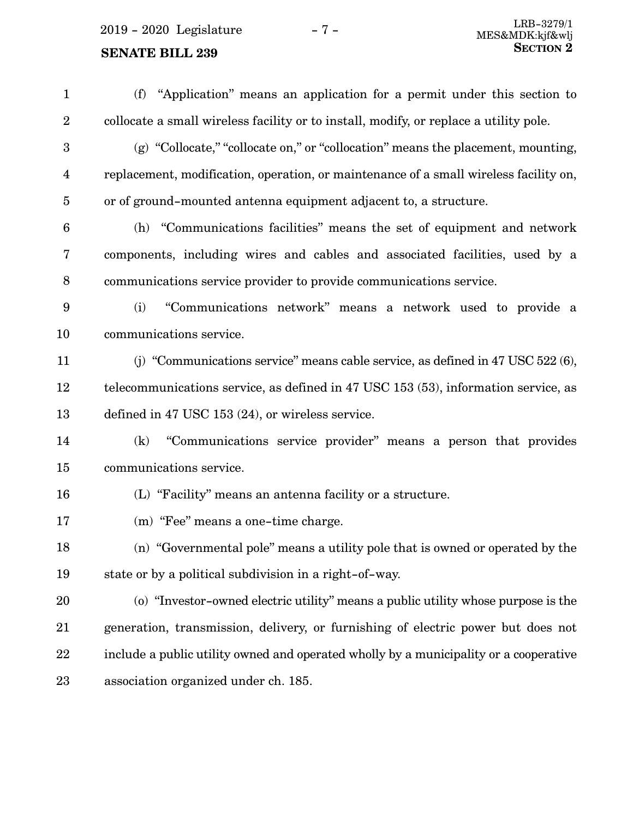(f) "Application" means an application for a permit under this section to collocate a small wireless facility or to install, modify, or replace a utility pole. (g) "Collocate," "collocate on," or "collocation" means the placement, mounting, replacement, modification, operation, or maintenance of a small wireless facility on, or of ground-mounted antenna equipment adjacent to, a structure. (h) "Communications facilities" means the set of equipment and network components, including wires and cables and associated facilities, used by a communications service provider to provide communications service. (i) "Communications network" means a network used to provide a communications service. (j) "Communications service" means cable service, as defined in 47 USC 522 (6), telecommunications service, as defined in 47 USC 153 (53), information service, as defined in 47 USC 153 (24), or wireless service. (k) "Communications service provider" means a person that provides communications service. (L) "Facility" means an antenna facility or a structure. (m) "Fee" means a one-time charge. (n) "Governmental pole" means a utility pole that is owned or operated by the state or by a political subdivision in a right-of-way. (o) "Investor-owned electric utility" means a public utility whose purpose is the generation, transmission, delivery, or furnishing of electric power but does not include a public utility owned and operated wholly by a municipality or a cooperative association organized under ch. 185. 1 2 3 4 5 6 7 8 9 10 11 12 13 14 15 16 17 18 19 20 21 22 23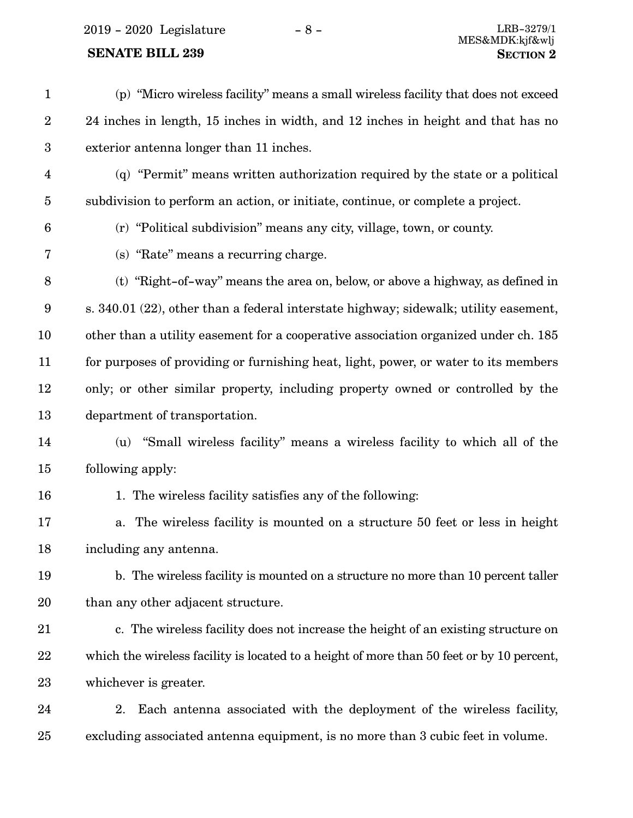2019 - 2020 Legislature - 8 - LRB-3279/1

### **SENATE BILL 239 SECTION** 2

(p) "Micro wireless facility" means a small wireless facility that does not exceed 24 inches in length, 15 inches in width, and 12 inches in height and that has no exterior antenna longer than 11 inches. (q) "Permit" means written authorization required by the state or a political subdivision to perform an action, or initiate, continue, or complete a project. (r) "Political subdivision" means any city, village, town, or county. (s) "Rate" means a recurring charge. (t) "Right-of-way" means the area on, below, or above a highway, as defined in s. 340.01 (22), other than a federal interstate highway; sidewalk; utility easement, other than a utility easement for a cooperative association organized under ch. 185 for purposes of providing or furnishing heat, light, power, or water to its members only; or other similar property, including property owned or controlled by the department of transportation. (u) "Small wireless facility" means a wireless facility to which all of the following apply: 1. The wireless facility satisfies any of the following: a. The wireless facility is mounted on a structure 50 feet or less in height including any antenna. b. The wireless facility is mounted on a structure no more than 10 percent taller than any other adjacent structure. c. The wireless facility does not increase the height of an existing structure on which the wireless facility is located to a height of more than 50 feet or by 10 percent, whichever is greater. 2. Each antenna associated with the deployment of the wireless facility, excluding associated antenna equipment, is no more than 3 cubic feet in volume. 1 2 3 4 5 6 7 8 9 10 11 12 13 14 15 16 17 18 19 20 21 22 23 24 25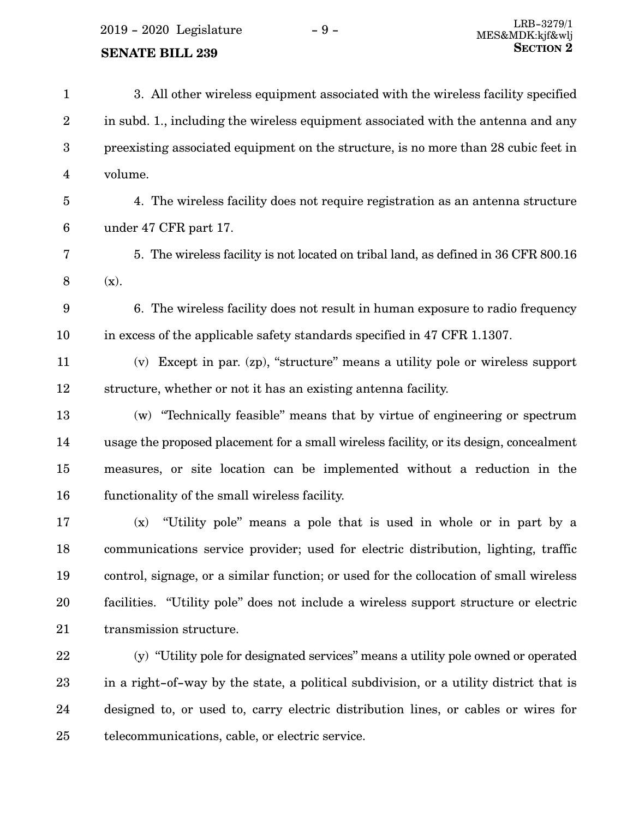2019 - 2020 Legislature - 9 -

### **SENATE BILL 239**

| $\mathbf{1}$     | 3. All other wireless equipment associated with the wireless facility specified        |
|------------------|----------------------------------------------------------------------------------------|
| $\sqrt{2}$       | in subd. 1., including the wireless equipment associated with the antenna and any      |
| $\boldsymbol{3}$ | preexisting associated equipment on the structure, is no more than 28 cubic feet in    |
| $\overline{4}$   | volume.                                                                                |
| $\bf 5$          | 4. The wireless facility does not require registration as an antenna structure         |
| $6\phantom{.}6$  | under 47 CFR part 17.                                                                  |
| 7                | 5. The wireless facility is not located on tribal land, as defined in 36 CFR 800.16    |
| $8\,$            | (x).                                                                                   |
| 9                | 6. The wireless facility does not result in human exposure to radio frequency          |
| 10               | in excess of the applicable safety standards specified in 47 CFR 1.1307.               |
| 11               | (v) Except in par. (zp), "structure" means a utility pole or wireless support          |
| 12               | structure, whether or not it has an existing antenna facility.                         |
| 13               | (w) "Technically feasible" means that by virtue of engineering or spectrum             |
| 14               | usage the proposed placement for a small wireless facility, or its design, concealment |
| 15               | measures, or site location can be implemented without a reduction in the               |
| 16               | functionality of the small wireless facility.                                          |
| 17               | "Utility pole" means a pole that is used in whole or in part by a<br>(x)               |
| 18               | communications service provider; used for electric distribution, lighting, traffic     |
| 19               | control, signage, or a similar function; or used for the collocation of small wireless |
| 20               | facilities. "Utility pole" does not include a wireless support structure or electric   |
| 21               | transmission structure.                                                                |
| 22               | (y) "Utility pole for designated services" means a utility pole owned or operated      |
| 23               | in a right-of-way by the state, a political subdivision, or a utility district that is |
|                  |                                                                                        |

designed to, or used to, carry electric distribution lines, or cables or wires for

telecommunications, cable, or electric service. 25

24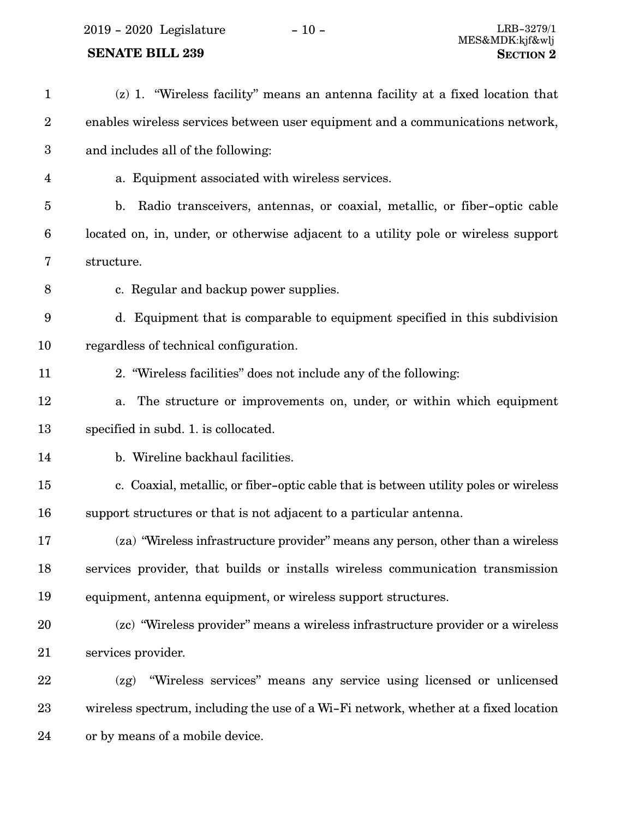2019 - 2020 Legislature - 10 - LRB-3279/1

## **SENATE BILL 239**

| $\mathbf{1}$     | (z) 1. "Wireless facility" means an antenna facility at a fixed location that              |
|------------------|--------------------------------------------------------------------------------------------|
| $\boldsymbol{2}$ | enables wireless services between user equipment and a communications network,             |
| $\boldsymbol{3}$ | and includes all of the following:                                                         |
| 4                | a. Equipment associated with wireless services.                                            |
| 5                | Radio transceivers, antennas, or coaxial, metallic, or fiber-optic cable<br>$\mathbf{b}$ . |
| 6                | located on, in, under, or otherwise adjacent to a utility pole or wireless support         |
| 7                | structure.                                                                                 |
| 8                | c. Regular and backup power supplies.                                                      |
| 9                | d. Equipment that is comparable to equipment specified in this subdivision                 |
| 10               | regardless of technical configuration.                                                     |
| 11               | 2. "Wireless facilities" does not include any of the following:                            |
| 12               | The structure or improvements on, under, or within which equipment<br>a.                   |
| 13               | specified in subd. 1. is collocated.                                                       |
| 14               | b. Wireline backhaul facilities.                                                           |
| 15               | c. Coaxial, metallic, or fiber-optic cable that is between utility poles or wireless       |
| 16               | support structures or that is not adjacent to a particular antenna.                        |
| 17               | (za) "Wireless infrastructure provider" means any person, other than a wireless            |
| 18               | services provider, that builds or installs wireless communication transmission             |
| 19               | equipment, antenna equipment, or wireless support structures.                              |
| 20               | (zc) "Wireless provider" means a wireless infrastructure provider or a wireless            |
| 21               | services provider.                                                                         |
| 22               | "Wireless services" means any service using licensed or unlicensed<br>(zg)                 |
| 23               | wireless spectrum, including the use of a Wi-Fi network, whether at a fixed location       |
| 24               | or by means of a mobile device.                                                            |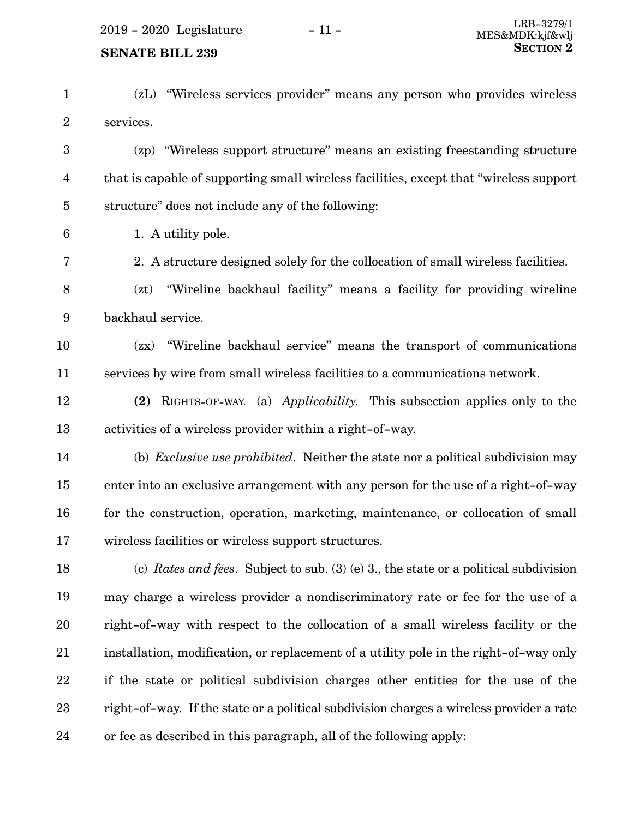- (zL) "Wireless services provider" means any person who provides wireless services. 1 2
- (zp) "Wireless support structure" means an existing freestanding structure that is capable of supporting small wireless facilities, except that "wireless support structure" does not include any of the following: 3 4 5
	- 1. A utility pole.

6

- 2. A structure designed solely for the collocation of small wireless facilities. 7
- (zt) "Wireline backhaul facility" means a facility for providing wireline backhaul service. 8 9
- (zx) "Wireline backhaul service" means the transport of communications services by wire from small wireless facilities to a communications network. 10 11
- **(2)** RIGHTS-OF-WAY. (a) *Applicability.* This subsection applies only to the activities of a wireless provider within a right-of-way. 12 13
- (b) *Exclusive use prohibited*. Neither the state nor a political subdivision may enter into an exclusive arrangement with any person for the use of a right-of-way for the construction, operation, marketing, maintenance, or collocation of small wireless facilities or wireless support structures. 14 15 16 17
- (c) *Rates and fees*. Subject to sub. (3) (e) 3., the state or a political subdivision may charge a wireless provider a nondiscriminatory rate or fee for the use of a right-of-way with respect to the collocation of a small wireless facility or the installation, modification, or replacement of a utility pole in the right-of-way only if the state or political subdivision charges other entities for the use of the right-of-way. If the state or a political subdivision charges a wireless provider a rate or fee as described in this paragraph, all of the following apply: 18 19 20 21 22 23 24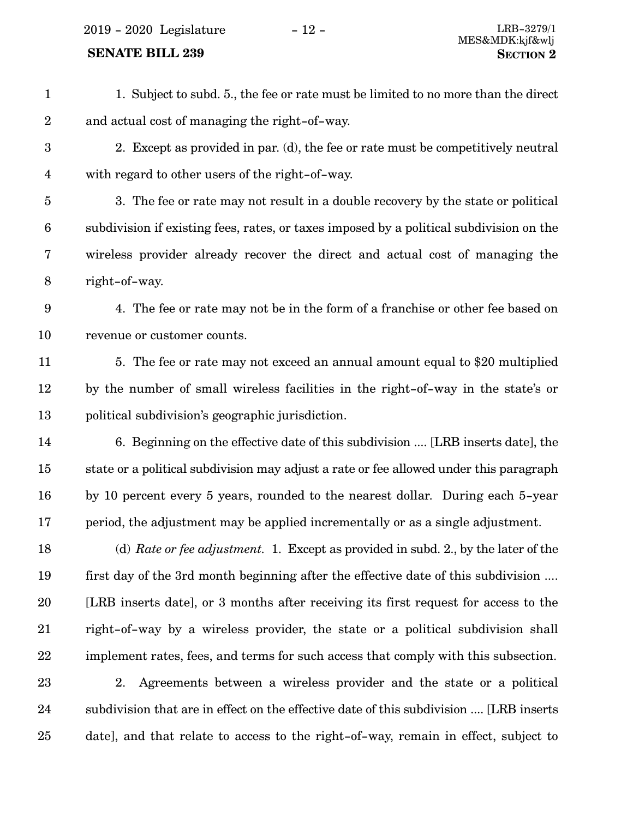2019 - 2020 Legislature - 12 -

### **SENATE BILL 239**

| $\mathbf{1}$            | 1. Subject to subd. 5., the fee or rate must be limited to no more than the direct      |
|-------------------------|-----------------------------------------------------------------------------------------|
| $\overline{2}$          | and actual cost of managing the right-of-way.                                           |
| $\boldsymbol{3}$        | 2. Except as provided in par. (d), the fee or rate must be competitively neutral        |
| $\overline{\mathbf{4}}$ | with regard to other users of the right-of-way.                                         |
| $\overline{5}$          | 3. The fee or rate may not result in a double recovery by the state or political        |
| $\boldsymbol{6}$        | subdivision if existing fees, rates, or taxes imposed by a political subdivision on the |
| 7                       | wireless provider already recover the direct and actual cost of managing the            |
| $8\,$                   | right-of-way.                                                                           |
| 9                       | 4. The fee or rate may not be in the form of a franchise or other fee based on          |
| 10                      | revenue or customer counts.                                                             |
| 11                      | 5. The fee or rate may not exceed an annual amount equal to \$20 multiplied             |
| 12                      | by the number of small wireless facilities in the right-of-way in the state's or        |
| 13                      | political subdivision's geographic jurisdiction.                                        |
| 14                      | 6. Beginning on the effective date of this subdivision  [LRB inserts date], the         |
| 15                      | state or a political subdivision may adjust a rate or fee allowed under this paragraph  |
| 16                      | by 10 percent every 5 years, rounded to the nearest dollar. During each 5-year          |
| 17                      | period, the adjustment may be applied incrementally or as a single adjustment.          |
| 18                      | (d) Rate or fee adjustment. 1. Except as provided in subd. 2., by the later of the      |
| 19                      | first day of the 3rd month beginning after the effective date of this subdivision       |
| 20                      | [LRB inserts date], or 3 months after receiving its first request for access to the     |
| 21                      | right-of-way by a wireless provider, the state or a political subdivision shall         |
| 22                      | implement rates, fees, and terms for such access that comply with this subsection.      |
| 23                      | Agreements between a wireless provider and the state or a political<br>2.               |
| 24                      | subdivision that are in effect on the effective date of this subdivision  [LRB inserts  |
| 25                      | date], and that relate to access to the right-of-way, remain in effect, subject to      |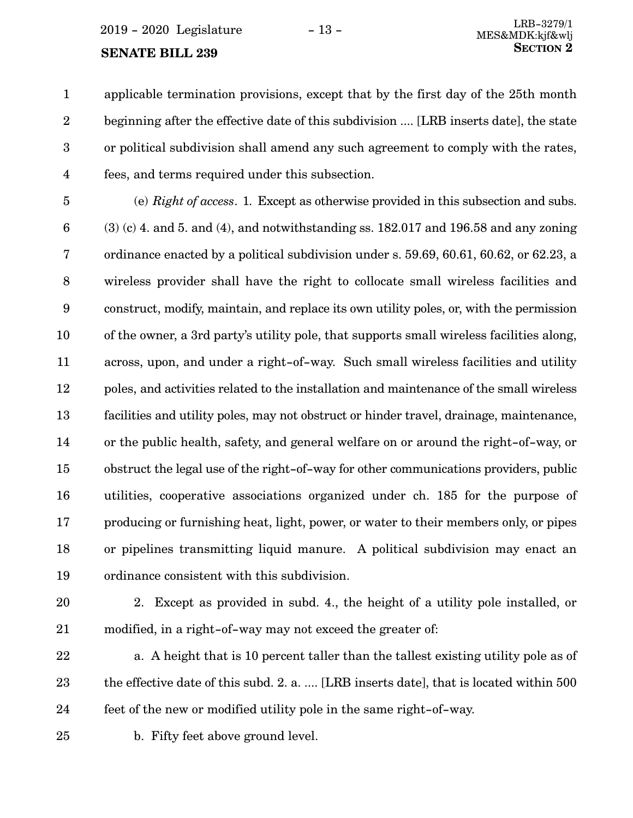applicable termination provisions, except that by the first day of the 25th month 1

beginning after the effective date of this subdivision .... [LRB inserts date], the state or political subdivision shall amend any such agreement to comply with the rates, fees, and terms required under this subsection. 2 3 4

(e) *Right of access*. 1. Except as otherwise provided in this subsection and subs. (3) (c) 4. and 5. and (4), and notwithstanding ss. 182.017 and 196.58 and any zoning ordinance enacted by a political subdivision under s. 59.69, 60.61, 60.62, or 62.23, a wireless provider shall have the right to collocate small wireless facilities and construct, modify, maintain, and replace its own utility poles, or, with the permission of the owner, a 3rd party's utility pole, that supports small wireless facilities along, across, upon, and under a right-of-way. Such small wireless facilities and utility poles, and activities related to the installation and maintenance of the small wireless facilities and utility poles, may not obstruct or hinder travel, drainage, maintenance, or the public health, safety, and general welfare on or around the right-of-way, or obstruct the legal use of the right-of-way for other communications providers, public utilities, cooperative associations organized under ch. 185 for the purpose of producing or furnishing heat, light, power, or water to their members only, or pipes or pipelines transmitting liquid manure. A political subdivision may enact an ordinance consistent with this subdivision. 5 6 7 8 9 10 11 12 13 14 15 16 17 18 19

- 20
- 21

2. Except as provided in subd. 4., the height of a utility pole installed, or modified, in a right-of-way may not exceed the greater of:

a. A height that is 10 percent taller than the tallest existing utility pole as of the effective date of this subd. 2. a. .... [LRB inserts date], that is located within 500 feet of the new or modified utility pole in the same right-of-way. 22 23 24

25

b. Fifty feet above ground level.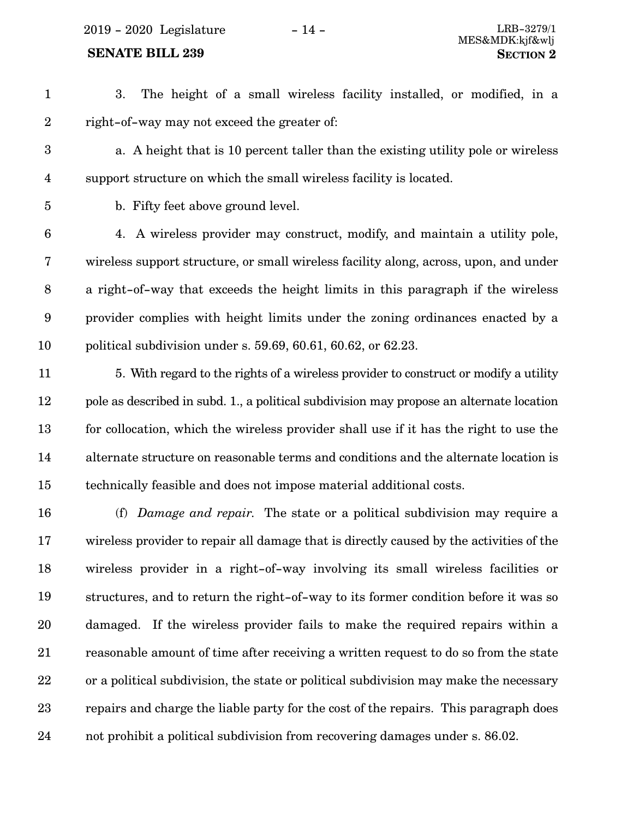2019 - 2020 Legislature - 14 - LRB-3279/1

#### **SENATE BILL 239 SECTION 2**

3. The height of a small wireless facility installed, or modified, in a right-of-way may not exceed the greater of: 1 2

a. A height that is 10 percent taller than the existing utility pole or wireless support structure on which the small wireless facility is located. 3 4

5

b. Fifty feet above ground level.

4. A wireless provider may construct, modify, and maintain a utility pole, wireless support structure, or small wireless facility along, across, upon, and under a right-of-way that exceeds the height limits in this paragraph if the wireless provider complies with height limits under the zoning ordinances enacted by a political subdivision under s. 59.69, 60.61, 60.62, or 62.23. 6 7 8 9 10

- 5. With regard to the rights of a wireless provider to construct or modify a utility pole as described in subd. 1., a political subdivision may propose an alternate location for collocation, which the wireless provider shall use if it has the right to use the alternate structure on reasonable terms and conditions and the alternate location is technically feasible and does not impose material additional costs. 11 12 13 14 15
- (f) *Damage and repair*. The state or a political subdivision may require a wireless provider to repair all damage that is directly caused by the activities of the wireless provider in a right-of-way involving its small wireless facilities or structures, and to return the right-of-way to its former condition before it was so damaged. If the wireless provider fails to make the required repairs within a reasonable amount of time after receiving a written request to do so from the state or a political subdivision, the state or political subdivision may make the necessary repairs and charge the liable party for the cost of the repairs. This paragraph does not prohibit a political subdivision from recovering damages under s. 86.02. 16 17 18 19 20 21 22 23 24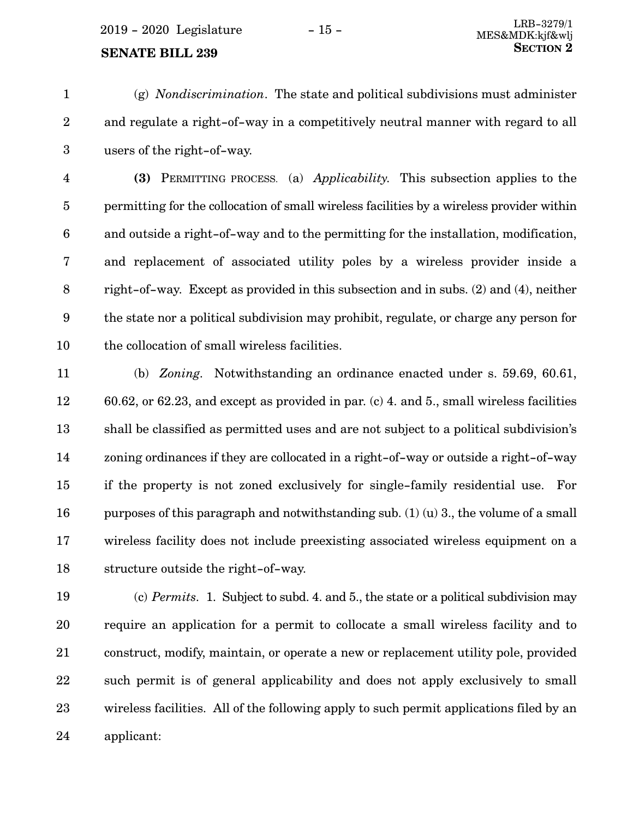(g) *Nondiscrimination*. The state and political subdivisions must administer and regulate a right-of-way in a competitively neutral manner with regard to all users of the right-of-way. 1 2 3

**(3)** PERMITTING PROCESS. (a) *Applicability*. This subsection applies to the permitting for the collocation of small wireless facilities by a wireless provider within and outside a right-of-way and to the permitting for the installation, modification, and replacement of associated utility poles by a wireless provider inside a right-of-way. Except as provided in this subsection and in subs. (2) and (4), neither the state nor a political subdivision may prohibit, regulate, or charge any person for the collocation of small wireless facilities. 4 5 6 7 8 9 10

(b) *Zoning.* Notwithstanding an ordinance enacted under s. 59.69, 60.61, 60.62, or 62.23, and except as provided in par. (c) 4. and 5., small wireless facilities shall be classified as permitted uses and are not subject to a political subdivision's zoning ordinances if they are collocated in a right-of-way or outside a right-of-way if the property is not zoned exclusively for single-family residential use. For purposes of this paragraph and notwithstanding sub. (1) (u) 3., the volume of a small wireless facility does not include preexisting associated wireless equipment on a structure outside the right-of-way. 11 12 13 14 15 16 17 18

(c) *Permits.* 1. Subject to subd. 4. and 5., the state or a political subdivision may require an application for a permit to collocate a small wireless facility and to construct, modify, maintain, or operate a new or replacement utility pole, provided such permit is of general applicability and does not apply exclusively to small wireless facilities. All of the following apply to such permit applications filed by an applicant: 19 20 21 22 23 24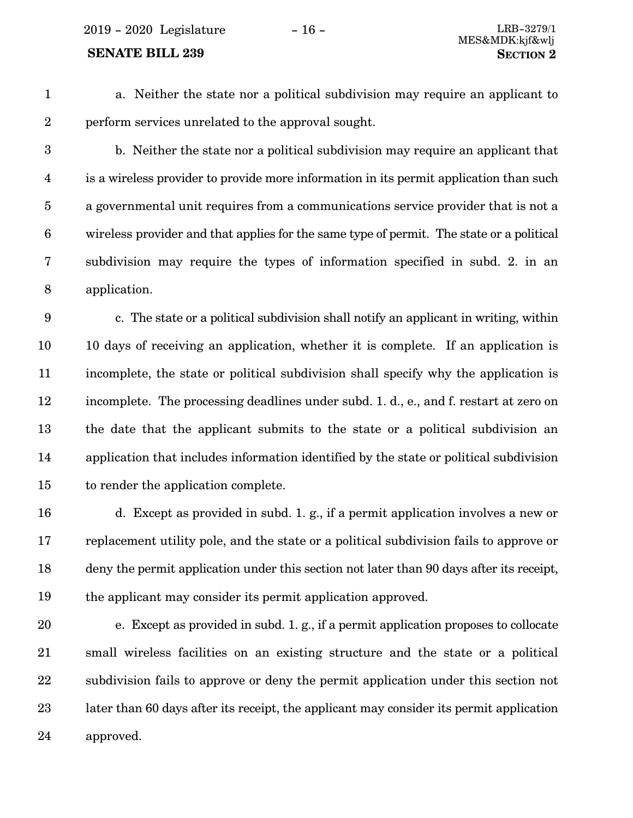2019 - 2020 Legislature - 16 - LRB-3279/1

1

a. Neither the state nor a political subdivision may require an applicant to perform services unrelated to the approval sought.

2

b. Neither the state nor a political subdivision may require an applicant that is a wireless provider to provide more information in its permit application than such a governmental unit requires from a communications service provider that is not a wireless provider and that applies for the same type of permit. The state or a political subdivision may require the types of information specified in subd. 2. in an application. 3 4 5 6 7 8

c. The state or a political subdivision shall notify an applicant in writing, within 10 days of receiving an application, whether it is complete. If an application is incomplete, the state or political subdivision shall specify why the application is incomplete. The processing deadlines under subd. 1. d., e., and f. restart at zero on the date that the applicant submits to the state or a political subdivision an application that includes information identified by the state or political subdivision to render the application complete. 9 10 11 12 13 14 15

d. Except as provided in subd. 1. g., if a permit application involves a new or replacement utility pole, and the state or a political subdivision fails to approve or deny the permit application under this section not later than 90 days after its receipt, the applicant may consider its permit application approved. 16 17 18 19

e. Except as provided in subd. 1. g., if a permit application proposes to collocate small wireless facilities on an existing structure and the state or a political subdivision fails to approve or deny the permit application under this section not later than 60 days after its receipt, the applicant may consider its permit application approved. 20 21 22 23 24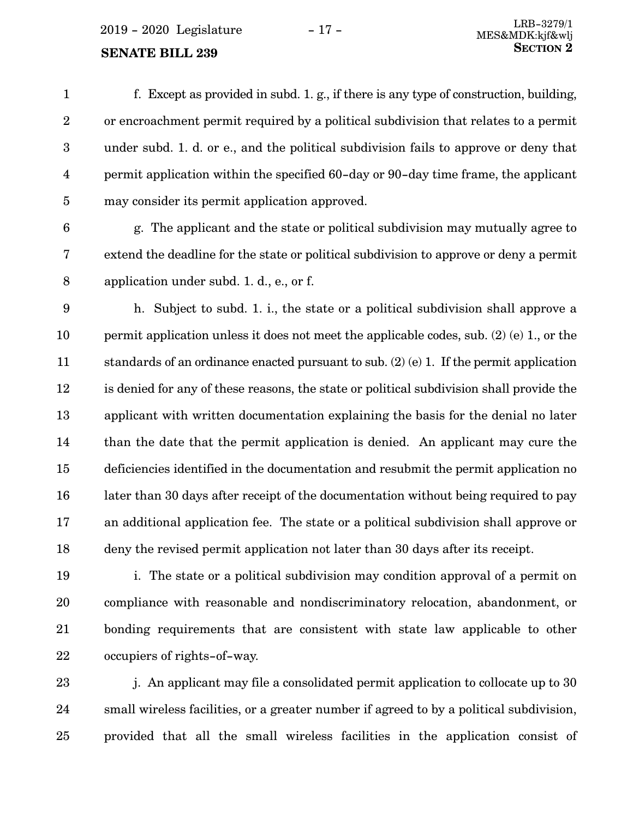f. Except as provided in subd. 1. g., if there is any type of construction, building, or encroachment permit required by a political subdivision that relates to a permit under subd. 1. d. or e., and the political subdivision fails to approve or deny that permit application within the specified 60-day or 90-day time frame, the applicant may consider its permit application approved. 1 2 3 4 5

6

g. The applicant and the state or political subdivision may mutually agree to extend the deadline for the state or political subdivision to approve or deny a permit application under subd. 1. d., e., or f. 7 8

h. Subject to subd. 1. i., the state or a political subdivision shall approve a permit application unless it does not meet the applicable codes, sub. (2) (e) 1., or the standards of an ordinance enacted pursuant to sub. (2) (e) 1. If the permit application is denied for any of these reasons, the state or political subdivision shall provide the applicant with written documentation explaining the basis for the denial no later than the date that the permit application is denied. An applicant may cure the deficiencies identified in the documentation and resubmit the permit application no later than 30 days after receipt of the documentation without being required to pay an additional application fee. The state or a political subdivision shall approve or deny the revised permit application not later than 30 days after its receipt. 9 10 11 12 13 14 15 16 17 18

i. The state or a political subdivision may condition approval of a permit on compliance with reasonable and nondiscriminatory relocation, abandonment, or bonding requirements that are consistent with state law applicable to other occupiers of rights-of-way. 19 20 21 22

j. An applicant may file a consolidated permit application to collocate up to 30 small wireless facilities, or a greater number if agreed to by a political subdivision, provided that all the small wireless facilities in the application consist of 23 24 25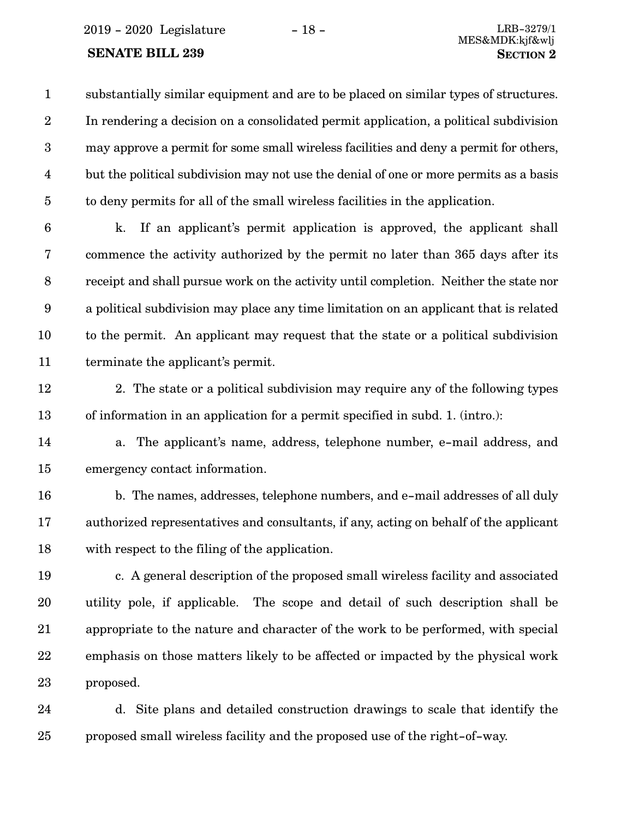2019 - 2020 Legislature - 18 - LRB-3279/1

substantially similar equipment and are to be placed on similar types of structures. In rendering a decision on a consolidated permit application, a political subdivision may approve a permit for some small wireless facilities and deny a permit for others, but the political subdivision may not use the denial of one or more permits as a basis to deny permits for all of the small wireless facilities in the application. 1 2 3 4 5

k. If an applicant's permit application is approved, the applicant shall commence the activity authorized by the permit no later than 365 days after its receipt and shall pursue work on the activity until completion. Neither the state nor a political subdivision may place any time limitation on an applicant that is related to the permit. An applicant may request that the state or a political subdivision terminate the applicant's permit. 6 7 8 9 10 11

- 2. The state or a political subdivision may require any of the following types of information in an application for a permit specified in subd. 1. (intro.): 12 13
- a. The applicant's name, address, telephone number, e-mail address, and emergency contact information. 14 15
- b. The names, addresses, telephone numbers, and e-mail addresses of all duly authorized representatives and consultants, if any, acting on behalf of the applicant with respect to the filing of the application. 16 17 18
- c. A general description of the proposed small wireless facility and associated utility pole, if applicable. The scope and detail of such description shall be appropriate to the nature and character of the work to be performed, with special emphasis on those matters likely to be affected or impacted by the physical work proposed. 19 20 21 22 23
- d. Site plans and detailed construction drawings to scale that identify the proposed small wireless facility and the proposed use of the right-of-way. 24 25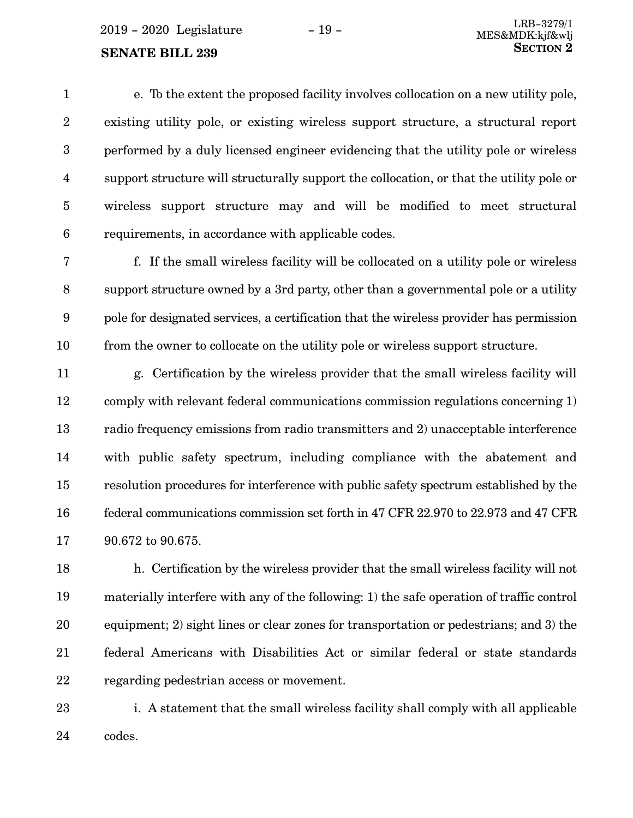e. To the extent the proposed facility involves collocation on a new utility pole, existing utility pole, or existing wireless support structure, a structural report performed by a duly licensed engineer evidencing that the utility pole or wireless support structure will structurally support the collocation, or that the utility pole or wireless support structure may and will be modified to meet structural requirements, in accordance with applicable codes. 1 2 3 4 5 6

f. If the small wireless facility will be collocated on a utility pole or wireless support structure owned by a 3rd party, other than a governmental pole or a utility pole for designated services, a certification that the wireless provider has permission from the owner to collocate on the utility pole or wireless support structure. 7 8 9 10

g. Certification by the wireless provider that the small wireless facility will comply with relevant federal communications commission regulations concerning 1) radio frequency emissions from radio transmitters and 2) unacceptable interference with public safety spectrum, including compliance with the abatement and resolution procedures for interference with public safety spectrum established by the federal communications commission set forth in 47 CFR 22.970 to 22.973 and 47 CFR 90.672 to 90.675. 11 12 13 14 15 16 17

h. Certification by the wireless provider that the small wireless facility will not materially interfere with any of the following: 1) the safe operation of traffic control equipment; 2) sight lines or clear zones for transportation or pedestrians; and 3) the federal Americans with Disabilities Act or similar federal or state standards regarding pedestrian access or movement. 18 19 20 21 22

i. A statement that the small wireless facility shall comply with all applicable codes. 23 24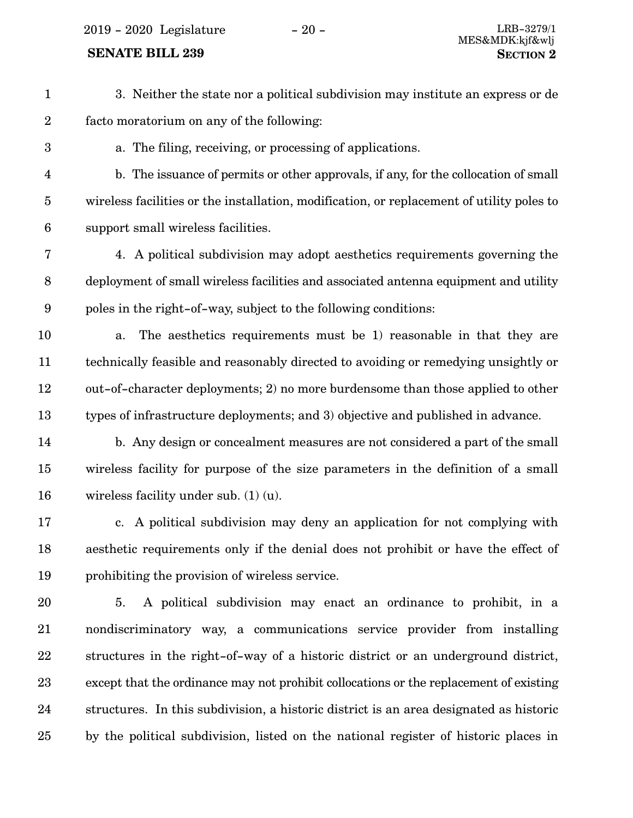2019 - 2020 Legislature - 20 - LRB-3279/1

### **SENATE BILL 239 SECTION** 2

25

3. Neither the state nor a political subdivision may institute an express or de facto moratorium on any of the following: a. The filing, receiving, or processing of applications. b. The issuance of permits or other approvals, if any, for the collocation of small wireless facilities or the installation, modification, or replacement of utility poles to support small wireless facilities. 4. A political subdivision may adopt aesthetics requirements governing the deployment of small wireless facilities and associated antenna equipment and utility poles in the right-of-way, subject to the following conditions: a. The aesthetics requirements must be 1) reasonable in that they are technically feasible and reasonably directed to avoiding or remedying unsightly or out-of-character deployments; 2) no more burdensome than those applied to other types of infrastructure deployments; and 3) objective and published in advance. b. Any design or concealment measures are not considered a part of the small wireless facility for purpose of the size parameters in the definition of a small wireless facility under sub. (1) (u). c. A political subdivision may deny an application for not complying with aesthetic requirements only if the denial does not prohibit or have the effect of prohibiting the provision of wireless service. 5. A political subdivision may enact an ordinance to prohibit, in a nondiscriminatory way, a communications service provider from installing structures in the right-of-way of a historic district or an underground district, except that the ordinance may not prohibit collocations or the replacement of existing structures. In this subdivision, a historic district is an area designated as historic 1 2 3 4 5 6 7 8 9 10 11 12 13 14 15 16 17 18 19 20 21 22 23 24

by the political subdivision, listed on the national register of historic places in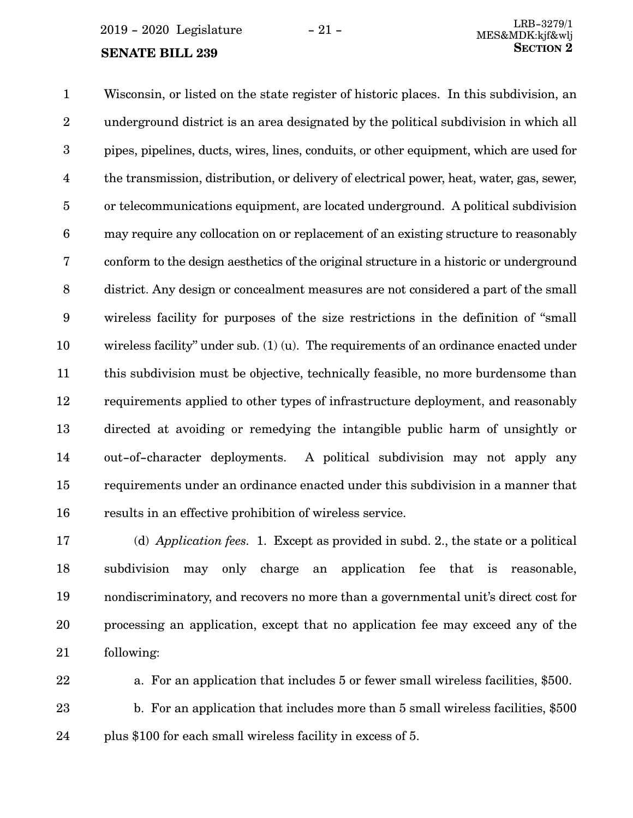Wisconsin, or listed on the state register of historic places. In this subdivision, an underground district is an area designated by the political subdivision in which all pipes, pipelines, ducts, wires, lines, conduits, or other equipment, which are used for the transmission, distribution, or delivery of electrical power, heat, water, gas, sewer, or telecommunications equipment, are located underground. A political subdivision may require any collocation on or replacement of an existing structure to reasonably conform to the design aesthetics of the original structure in a historic or underground district. Any design or concealment measures are not considered a part of the small wireless facility for purposes of the size restrictions in the definition of "small wireless facility" under sub. (1) (u). The requirements of an ordinance enacted under this subdivision must be objective, technically feasible, no more burdensome than requirements applied to other types of infrastructure deployment, and reasonably directed at avoiding or remedying the intangible public harm of unsightly or out-of-character deployments. A political subdivision may not apply any requirements under an ordinance enacted under this subdivision in a manner that results in an effective prohibition of wireless service. 1 2 3 4 5 6 7 8 9 10 11 12 13 14 15 16

(d) *Application fees.* 1. Except as provided in subd. 2., the state or a political subdivision may only charge an application fee that is reasonable, nondiscriminatory, and recovers no more than a governmental unit's direct cost for processing an application, except that no application fee may exceed any of the following: 17 18 19 20 21

a. For an application that includes 5 or fewer small wireless facilities, \$500. b. For an application that includes more than 5 small wireless facilities, \$500 plus \$100 for each small wireless facility in excess of 5. 22 23 24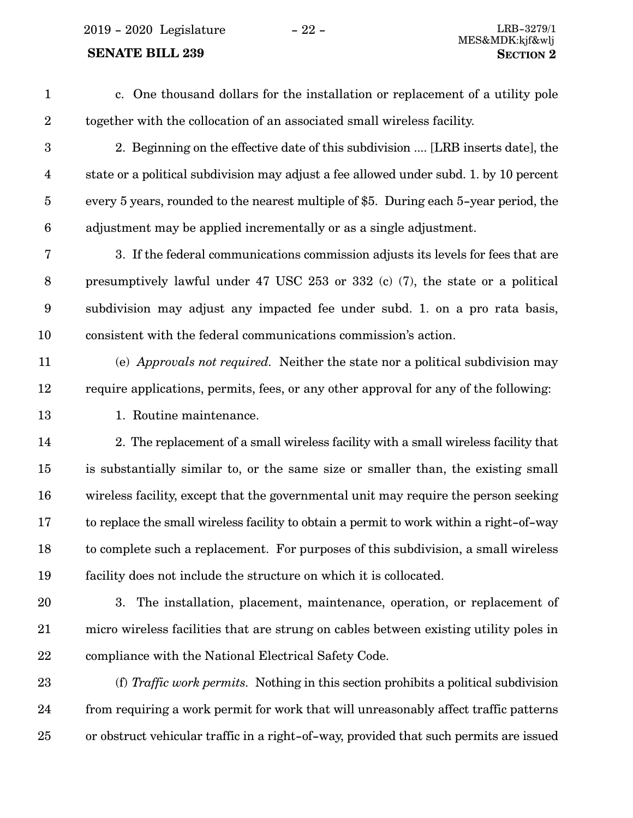2019 - 2020 Legislature - 22 - LRB-3279/1

### **SENATE BILL 239 SECTION** 2

c. One thousand dollars for the installation or replacement of a utility pole together with the collocation of an associated small wireless facility. 1 2

- 2. Beginning on the effective date of this subdivision .... [LRB inserts date], the state or a political subdivision may adjust a fee allowed under subd. 1. by 10 percent every 5 years, rounded to the nearest multiple of \$5. During each 5-year period, the adjustment may be applied incrementally or as a single adjustment. 3 4 5 6
- 3. If the federal communications commission adjusts its levels for fees that are presumptively lawful under 47 USC 253 or 332 (c) (7), the state or a political subdivision may adjust any impacted fee under subd. 1. on a pro rata basis, consistent with the federal communications commission's action. 7 8 9 10
- (e) *Approvals not required.* Neither the state nor a political subdivision may require applications, permits, fees, or any other approval for any of the following: 11 12
- 13

1. Routine maintenance.

2. The replacement of a small wireless facility with a small wireless facility that is substantially similar to, or the same size or smaller than, the existing small wireless facility, except that the governmental unit may require the person seeking to replace the small wireless facility to obtain a permit to work within a right-of-way to complete such a replacement. For purposes of this subdivision, a small wireless facility does not include the structure on which it is collocated. 14 15 16 17 18 19

3. The installation, placement, maintenance, operation, or replacement of micro wireless facilities that are strung on cables between existing utility poles in compliance with the National Electrical Safety Code. 20 21 22

(f) *Traffic work permits.* Nothing in this section prohibits a political subdivision from requiring a work permit for work that will unreasonably affect traffic patterns or obstruct vehicular traffic in a right-of-way, provided that such permits are issued 23 24 25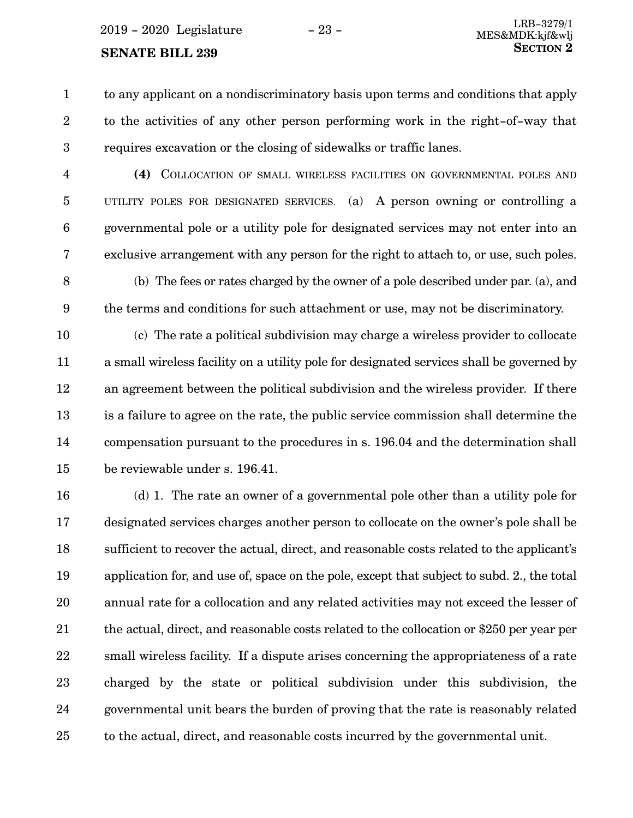to any applicant on a nondiscriminatory basis upon terms and conditions that apply to the activities of any other person performing work in the right-of-way that requires excavation or the closing of sidewalks or traffic lanes. 1 2 3

- **(4)** COLLOCATION OF SMALL WIRELESS FACILITIES ON GOVERNMENTAL POLES AND UTILITY POLES FOR DESIGNATED SERVICES. (a) A person owning or controlling a governmental pole or a utility pole for designated services may not enter into an exclusive arrangement with any person for the right to attach to, or use, such poles. 4 5 6 7
- (b) The fees or rates charged by the owner of a pole described under par. (a), and the terms and conditions for such attachment or use, may not be discriminatory. 8 9

(c) The rate a political subdivision may charge a wireless provider to collocate a small wireless facility on a utility pole for designated services shall be governed by an agreement between the political subdivision and the wireless provider. If there is a failure to agree on the rate, the public service commission shall determine the compensation pursuant to the procedures in s. 196.04 and the determination shall be reviewable under s. 196.41. 10 11 12 13 14 15

(d) 1. The rate an owner of a governmental pole other than a utility pole for designated services charges another person to collocate on the owner's pole shall be sufficient to recover the actual, direct, and reasonable costs related to the applicant's application for, and use of, space on the pole, except that subject to subd. 2., the total annual rate for a collocation and any related activities may not exceed the lesser of the actual, direct, and reasonable costs related to the collocation or \$250 per year per small wireless facility. If a dispute arises concerning the appropriateness of a rate charged by the state or political subdivision under this subdivision, the governmental unit bears the burden of proving that the rate is reasonably related to the actual, direct, and reasonable costs incurred by the governmental unit. 16 17 18 19 20 21 22 23 24 25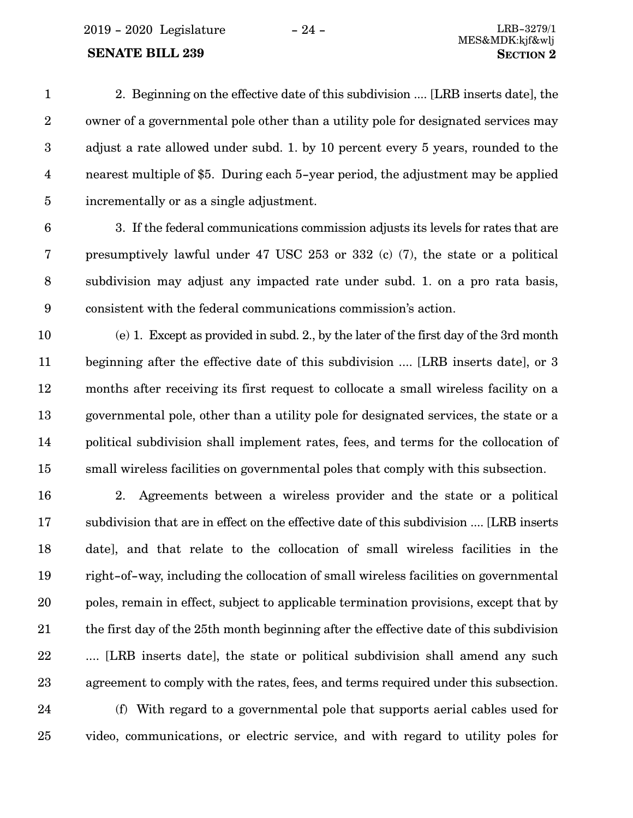2019 - 2020 Legislature - 24 - LRB-3279/1

### **SENATE BILL 239 SECTION** 2

2. Beginning on the effective date of this subdivision .... [LRB inserts date], the owner of a governmental pole other than a utility pole for designated services may adjust a rate allowed under subd. 1. by 10 percent every 5 years, rounded to the nearest multiple of \$5. During each 5-year period, the adjustment may be applied incrementally or as a single adjustment. 1 2 3 4 5

6

3. If the federal communications commission adjusts its levels for rates that are presumptively lawful under 47 USC 253 or 332 (c) (7), the state or a political subdivision may adjust any impacted rate under subd. 1. on a pro rata basis, consistent with the federal communications commission's action. 7 8 9

(e) 1. Except as provided in subd. 2., by the later of the first day of the 3rd month beginning after the effective date of this subdivision .... [LRB inserts date], or 3 months after receiving its first request to collocate a small wireless facility on a governmental pole, other than a utility pole for designated services, the state or a political subdivision shall implement rates, fees, and terms for the collocation of small wireless facilities on governmental poles that comply with this subsection. 10 11 12 13 14 15

2. Agreements between a wireless provider and the state or a political subdivision that are in effect on the effective date of this subdivision .... [LRB inserts date], and that relate to the collocation of small wireless facilities in the right-of-way, including the collocation of small wireless facilities on governmental poles, remain in effect, subject to applicable termination provisions, except that by the first day of the 25th month beginning after the effective date of this subdivision .... [LRB inserts date], the state or political subdivision shall amend any such agreement to comply with the rates, fees, and terms required under this subsection. 16 17 18 19 20 21 22 23

(f) With regard to a governmental pole that supports aerial cables used for video, communications, or electric service, and with regard to utility poles for 24 25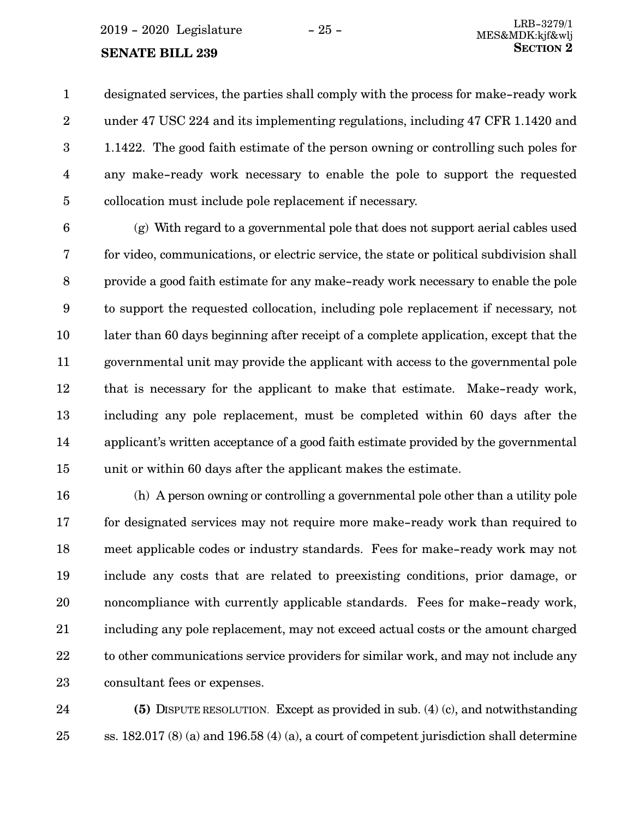designated services, the parties shall comply with the process for make-ready work under 47 USC 224 and its implementing regulations, including 47 CFR 1.1420 and 1.1422. The good faith estimate of the person owning or controlling such poles for any make-ready work necessary to enable the pole to support the requested collocation must include pole replacement if necessary. 1 2 3 4 5

(g) With regard to a governmental pole that does not support aerial cables used for video, communications, or electric service, the state or political subdivision shall provide a good faith estimate for any make-ready work necessary to enable the pole to support the requested collocation, including pole replacement if necessary, not later than 60 days beginning after receipt of a complete application, except that the governmental unit may provide the applicant with access to the governmental pole that is necessary for the applicant to make that estimate. Make-ready work, including any pole replacement, must be completed within 60 days after the applicant's written acceptance of a good faith estimate provided by the governmental unit or within 60 days after the applicant makes the estimate. 6 7 8 9 10 11 12 13 14 15

(h) A person owning or controlling a governmental pole other than a utility pole for designated services may not require more make-ready work than required to meet applicable codes or industry standards. Fees for make-ready work may not include any costs that are related to preexisting conditions, prior damage, or noncompliance with currently applicable standards. Fees for make-ready work, including any pole replacement, may not exceed actual costs or the amount charged to other communications service providers for similar work, and may not include any consultant fees or expenses. 16 17 18 19 20 21 22 23

**(5)** DISPUTE RESOLUTION. Except as provided in sub. (4) (c), and notwithstanding ss. 182.017 (8) (a) and 196.58 (4) (a), a court of competent jurisdiction shall determine 24 25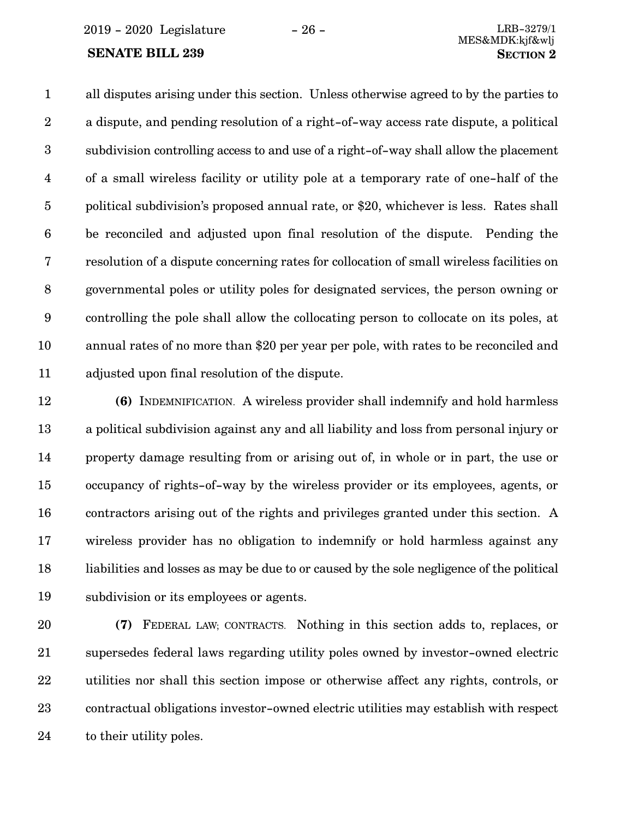2019 - 2020 Legislature - 26 - LRB-3279/1

### **SENATE BILL 239 SECTION** 2

all disputes arising under this section. Unless otherwise agreed to by the parties to a dispute, and pending resolution of a right-of-way access rate dispute, a political subdivision controlling access to and use of a right-of-way shall allow the placement of a small wireless facility or utility pole at a temporary rate of one-half of the political subdivision's proposed annual rate, or \$20, whichever is less. Rates shall be reconciled and adjusted upon final resolution of the dispute. Pending the resolution of a dispute concerning rates for collocation of small wireless facilities on governmental poles or utility poles for designated services, the person owning or controlling the pole shall allow the collocating person to collocate on its poles, at annual rates of no more than \$20 per year per pole, with rates to be reconciled and adjusted upon final resolution of the dispute. 1 2 3 4 5 6 7 8 9 10 11

**(6)** INDEMNIFICATION. A wireless provider shall indemnify and hold harmless a political subdivision against any and all liability and loss from personal injury or property damage resulting from or arising out of, in whole or in part, the use or occupancy of rights-of-way by the wireless provider or its employees, agents, or contractors arising out of the rights and privileges granted under this section. A wireless provider has no obligation to indemnify or hold harmless against any liabilities and losses as may be due to or caused by the sole negligence of the political subdivision or its employees or agents. 12 13 14 15 16 17 18 19

**(7)** FEDERAL LAW; CONTRACTS. Nothing in this section adds to, replaces, or supersedes federal laws regarding utility poles owned by investor-owned electric utilities nor shall this section impose or otherwise affect any rights, controls, or contractual obligations investor-owned electric utilities may establish with respect to their utility poles. 20 21 22 23 24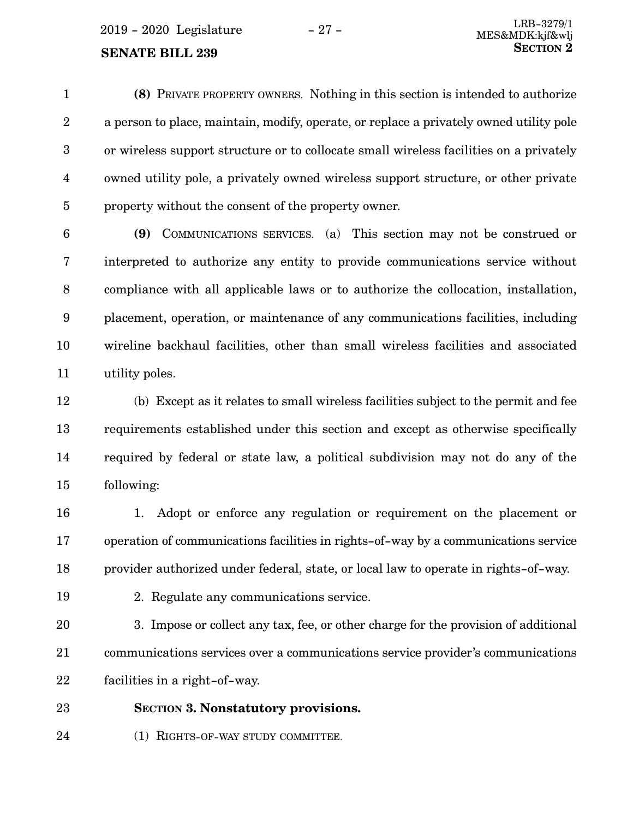**(8)** PRIVATE PROPERTY OWNERS. Nothing in this section is intended to authorize a person to place, maintain, modify, operate, or replace a privately owned utility pole or wireless support structure or to collocate small wireless facilities on a privately owned utility pole, a privately owned wireless support structure, or other private property without the consent of the property owner. 1 2 3 4 5

**(9)** COMMUNICATIONS SERVICES. (a) This section may not be construed or interpreted to authorize any entity to provide communications service without compliance with all applicable laws or to authorize the collocation, installation, placement, operation, or maintenance of any communications facilities, including wireline backhaul facilities, other than small wireless facilities and associated utility poles. 6 7 8 9 10 11

(b) Except as it relates to small wireless facilities subject to the permit and fee requirements established under this section and except as otherwise specifically required by federal or state law, a political subdivision may not do any of the following: 12 13 14 15

1. Adopt or enforce any regulation or requirement on the placement or operation of communications facilities in rights-of-way by a communications service provider authorized under federal, state, or local law to operate in rights-of-way. 16 17 18

- 19
- 2. Regulate any communications service.

3. Impose or collect any tax, fee, or other charge for the provision of additional communications services over a communications service provider's communications facilities in a right-of-way. 20 21 22

#### **SECTION 3.**0**Nonstatutory provisions.** 23

(1) RIGHTS-OF-WAY STUDY COMMITTEE. 24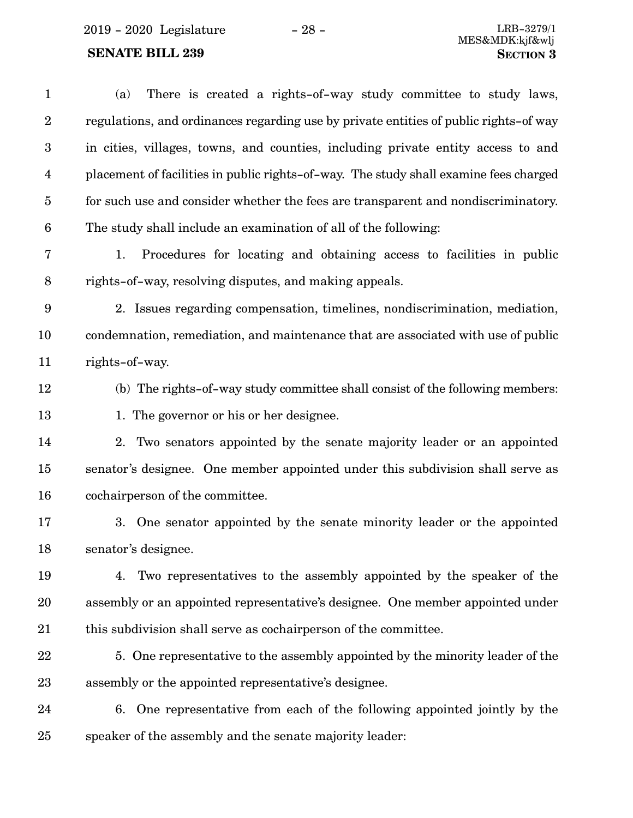$\,$  2019 - 2020  $\,$  Legislature  $\,$   $\,$   $\,$  –  $\,$  28 -  $\,$ 

## **SENATE BILL 239**

| $\mathbf{1}$            | There is created a rights-of-way study committee to study laws,<br>(a)                |
|-------------------------|---------------------------------------------------------------------------------------|
| $\boldsymbol{2}$        | regulations, and ordinances regarding use by private entities of public rights-of way |
| $\boldsymbol{3}$        | in cities, villages, towns, and counties, including private entity access to and      |
| $\overline{\mathbf{4}}$ | placement of facilities in public rights-of-way. The study shall examine fees charged |
| $\overline{5}$          | for such use and consider whether the fees are transparent and nondiscriminatory.     |
| $6\phantom{1}6$         | The study shall include an examination of all of the following:                       |
| 7                       | Procedures for locating and obtaining access to facilities in public<br>1.            |
| $\, 8$                  | rights-of-way, resolving disputes, and making appeals.                                |
| $\boldsymbol{9}$        | 2. Issues regarding compensation, timelines, nondiscrimination, mediation,            |
| 10                      | condemnation, remediation, and maintenance that are associated with use of public     |
| 11                      | rights-of-way.                                                                        |
| 12                      | (b) The rights-of-way study committee shall consist of the following members:         |
| 13                      | 1. The governor or his or her designee.                                               |
| 14                      | 2. Two senators appointed by the senate majority leader or an appointed               |
| 15                      | senator's designee. One member appointed under this subdivision shall serve as        |
| 16                      | cochairperson of the committee.                                                       |
| 17                      | 3. One senator appointed by the senate minority leader or the appointed               |
| 18                      | senator's designee.                                                                   |
| 19                      | Two representatives to the assembly appointed by the speaker of the<br>4.             |
| 20                      | assembly or an appointed representative's designee. One member appointed under        |
| 21                      | this subdivision shall serve as cochairperson of the committee.                       |
| 22                      | 5. One representative to the assembly appointed by the minority leader of the         |
| 23                      | assembly or the appointed representative's designee.                                  |
| 24                      | 6. One representative from each of the following appointed jointly by the             |
| 25                      | speaker of the assembly and the senate majority leader:                               |